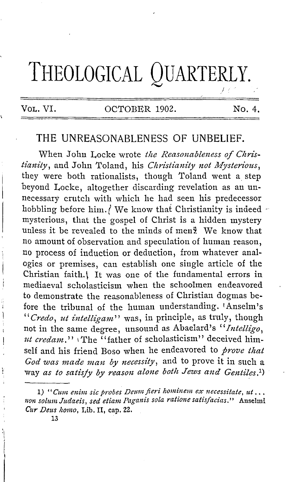# **THEOLOGICAL QUARTERLY.**   $L \times \mathbb{R}^2$

### VOL, VI. COCTOBER 1902. No. 4.

## **THE** UNREASONABLENESS OF UNBELIEF.

When John Locke wrote the Reasonableness of Chris- $\it{tianity}$ , and John Toland, his *Christianity not Mysterious*, they were both rationalists, though Toland went a\_ step beyond Locke, altogether discarding revelation as an unnecessary crutch with which he had seen his predecessor hobbling before him./ We know that Christianity is indeed  $\sim$ mysterious, that the gospel of Christ is a hidden mystery unless it be revealed to the minds of men? We know that no amount of observation and speculation of human reason, no process of induction or deduction, from whatever analogies or premises, can establish one single article of the Christian faith.<sup>[</sup> It was one of the fundamental errors in mediaeval scholasticism when the schoolmen endeavored to demonstrate the reasonableness of Christian dogmas before the tribunal of the human understanding. 1Anselm's *"Credo, ut intelligam"* was, in principle, as truly, though not in the same degree, unsound as Abaelard's *"Intelligo, ut credam."* The "father of scholasticism" deceived himself and his friend Boso when he endeavored to *prove that God was made mau by necessity,* and to prove it in such a way *as to satisfy by reason alone both Jews and Gentiles.<sup>1</sup>*)

13

<sup>1) &</sup>quot;Cum enim sic probes Deum fieri hominem ex necessitate, ut... non solum Judaeis, sed etiam Paganis sola ratione satisfacias." Anselmi *Cur Deus homo, Lib. II, cap. 22.*